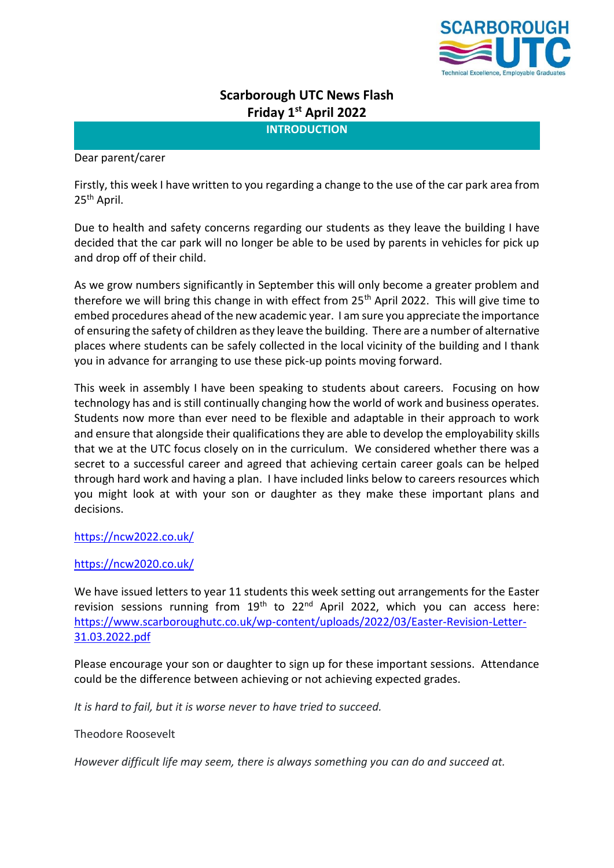

# **Scarborough UTC News Flash Friday 1 st April 2022**

**INTRODUCTION**

## Dear parent/carer

Firstly, this week I have written to you regarding a change to the use of the car park area from 25<sup>th</sup> April.

Due to health and safety concerns regarding our students as they leave the building I have decided that the car park will no longer be able to be used by parents in vehicles for pick up and drop off of their child.

As we grow numbers significantly in September this will only become a greater problem and therefore we will bring this change in with effect from 25<sup>th</sup> April 2022. This will give time to embed procedures ahead of the new academic year. I am sure you appreciate the importance of ensuring the safety of children as they leave the building. There are a number of alternative places where students can be safely collected in the local vicinity of the building and I thank you in advance for arranging to use these pick-up points moving forward.

This week in assembly I have been speaking to students about careers. Focusing on how technology has and is still continually changing how the world of work and business operates. Students now more than ever need to be flexible and adaptable in their approach to work and ensure that alongside their qualifications they are able to develop the employability skills that we at the UTC focus closely on in the curriculum. We considered whether there was a secret to a successful career and agreed that achieving certain career goals can be helped through hard work and having a plan. I have included links below to careers resources which you might look at with your son or daughter as they make these important plans and decisions.

<https://ncw2022.co.uk/>

# <https://ncw2020.co.uk/>

We have issued letters to year 11 students this week setting out arrangements for the Easter revision sessions running from  $19<sup>th</sup>$  to 22<sup>nd</sup> April 2022, which you can access here: [https://www.scarboroughutc.co.uk/wp-content/uploads/2022/03/Easter-Revision-Letter-](https://www.scarboroughutc.co.uk/wp-content/uploads/2022/03/Easter-Revision-Letter-31.03.2022.pdf)[31.03.2022.pdf](https://www.scarboroughutc.co.uk/wp-content/uploads/2022/03/Easter-Revision-Letter-31.03.2022.pdf)

Please encourage your son or daughter to sign up for these important sessions. Attendance could be the difference between achieving or not achieving expected grades.

*It is hard to fail, but it is worse never to have tried to succeed.* 

Theodore Roosevelt

*However difficult life may seem, there is always something you can do and succeed at.*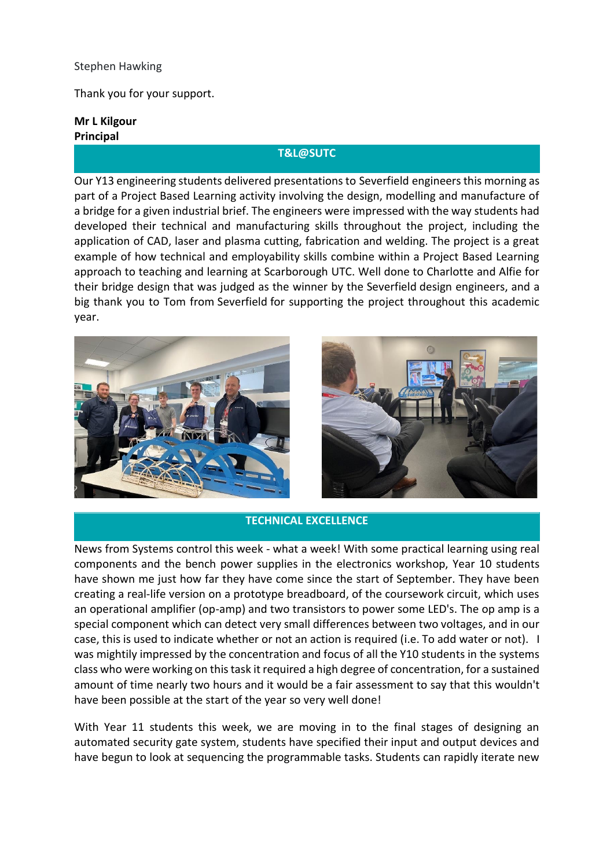## Stephen Hawking

Thank you for your support.

**Mr L Kilgour Principal**

## **T&L@SUTC**

Our Y13 engineering students delivered presentations to Severfield engineers this morning as part of a Project Based Learning activity involving the design, modelling and manufacture of a bridge for a given industrial brief. The engineers were impressed with the way students had developed their technical and manufacturing skills throughout the project, including the application of CAD, laser and plasma cutting, fabrication and welding. The project is a great example of how technical and employability skills combine within a Project Based Learning approach to teaching and learning at Scarborough UTC. Well done to Charlotte and Alfie for their bridge design that was judged as the winner by the Severfield design engineers, and a big thank you to Tom from Severfield for supporting the project throughout this academic year.





# **TECHNICAL EXCELLENCE**

News from Systems control this week - what a week! With some practical learning using real components and the bench power supplies in the electronics workshop, Year 10 students have shown me just how far they have come since the start of September. They have been creating a real-life version on a prototype breadboard, of the coursework circuit, which uses an operational amplifier (op-amp) and two transistors to power some LED's. The op amp is a special component which can detect very small differences between two voltages, and in our case, this is used to indicate whether or not an action is required (i.e. To add water or not). I was mightily impressed by the concentration and focus of all the Y10 students in the systems class who were working on this task it required a high degree of concentration, for a sustained amount of time nearly two hours and it would be a fair assessment to say that this wouldn't have been possible at the start of the year so very well done!

With Year 11 students this week, we are moving in to the final stages of designing an automated security gate system, students have specified their input and output devices and have begun to look at sequencing the programmable tasks. Students can rapidly iterate new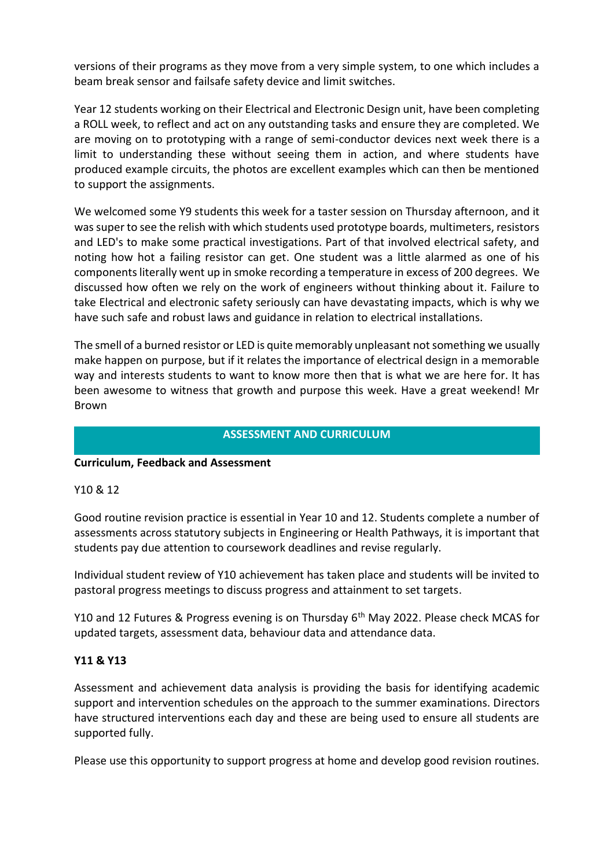versions of their programs as they move from a very simple system, to one which includes a beam break sensor and failsafe safety device and limit switches.

Year 12 students working on their Electrical and Electronic Design unit, have been completing a ROLL week, to reflect and act on any outstanding tasks and ensure they are completed. We are moving on to prototyping with a range of semi-conductor devices next week there is a limit to understanding these without seeing them in action, and where students have produced example circuits, the photos are excellent examples which can then be mentioned to support the assignments.

We welcomed some Y9 students this week for a taster session on Thursday afternoon, and it was super to see the relish with which students used prototype boards, multimeters, resistors and LED's to make some practical investigations. Part of that involved electrical safety, and noting how hot a failing resistor can get. One student was a little alarmed as one of his components literally went up in smoke recording a temperature in excess of 200 degrees. We discussed how often we rely on the work of engineers without thinking about it. Failure to take Electrical and electronic safety seriously can have devastating impacts, which is why we have such safe and robust laws and guidance in relation to electrical installations.

The smell of a burned resistor or LED is quite memorably unpleasant not something we usually make happen on purpose, but if it relates the importance of electrical design in a memorable way and interests students to want to know more then that is what we are here for. It has been awesome to witness that growth and purpose this week. Have a great weekend! Mr Brown

## **ASSESSMENT AND CURRICULUM**

## **Curriculum, Feedback and Assessment**

## Y10 & 12

Good routine revision practice is essential in Year 10 and 12. Students complete a number of assessments across statutory subjects in Engineering or Health Pathways, it is important that students pay due attention to coursework deadlines and revise regularly.

Individual student review of Y10 achievement has taken place and students will be invited to pastoral progress meetings to discuss progress and attainment to set targets.

Y10 and 12 Futures & Progress evening is on Thursday 6<sup>th</sup> May 2022. Please check MCAS for updated targets, assessment data, behaviour data and attendance data.

## **Y11 & Y13**

Assessment and achievement data analysis is providing the basis for identifying academic support and intervention schedules on the approach to the summer examinations. Directors have structured interventions each day and these are being used to ensure all students are supported fully.

Please use this opportunity to support progress at home and develop good revision routines.